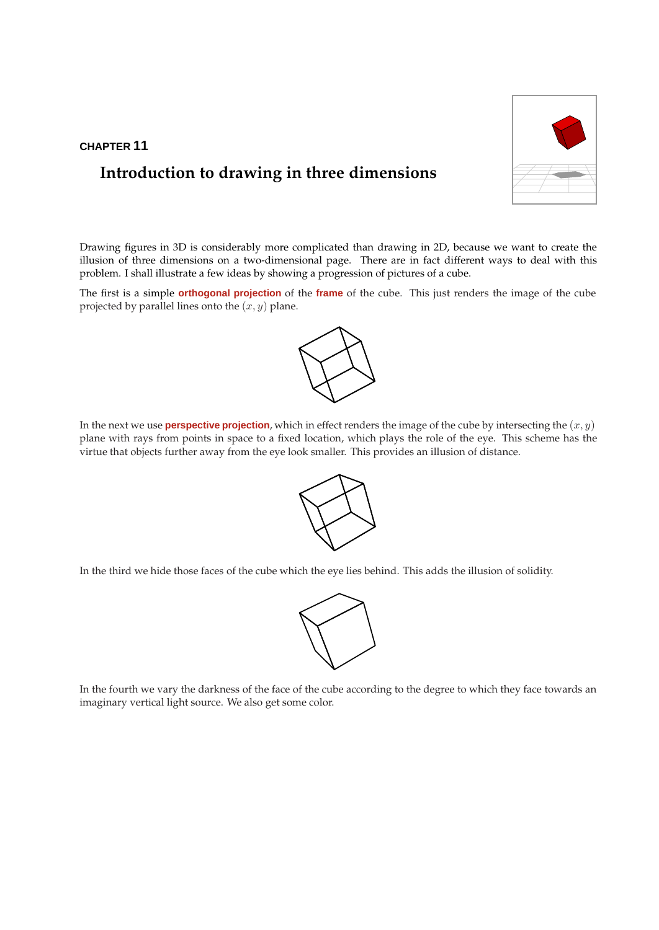## **CHAPTER 11**

## **Introduction to drawing in three dimensions**

Drawing figures in 3D is considerably more complicated than drawing in 2D, because we want to create the illusion of three dimensions on a two-dimensional page. There are in fact different ways to deal with this problem. I shall illustrate a few ideas by showing a progression of pictures of a cube.

The first is a simple **orthogonal projection** of the **frame** of the cube. This just renders the image of the cube projected by parallel lines onto the  $(x, y)$  plane.

In the next we use **perspective projection**, which in effect renders the image of the cube by intersecting the  $(x, y)$ plane with rays from points in space to a fixed location, which plays the role of the eye. This scheme has the virtue that objects further away from the eye look smaller. This provides an illusion of distance.

In the third we hide those faces of the cube which the eye lies behind. This adds the illusion of solidity.

In the fourth we vary the darkness of the face of the cube according to the degree to which they face towards an imaginary vertical light source. We also get some color.